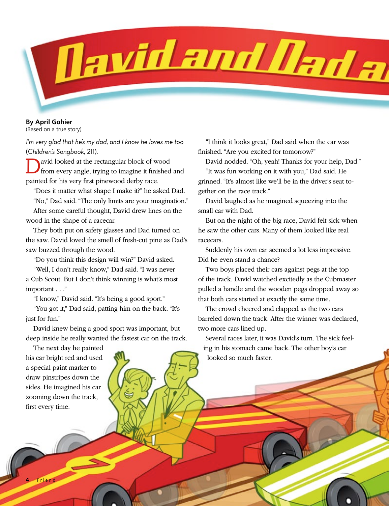

**By April Gohier**

(Based on a true story)

*I'm very glad that he's my dad, and I know he loves me too*  (*Children's Songbook,* 211).

David looked at the rectangular block of wood from every angle, trying to imagine it finished and painted for his very first pinewood derby race.

"Does it matter what shape I make it?" he asked Dad.

"No," Dad said. "The only limits are your imagination."

After some careful thought, David drew lines on the wood in the shape of a racecar.

They both put on safety glasses and Dad turned on the saw. David loved the smell of fresh-cut pine as Dad's saw buzzed through the wood.

"Do you think this design will win?" David asked.

"Well, I don't really know," Dad said. "I was never a Cub Scout. But I don't think winning is what's most important . . ."

"I know," David said. "It's being a good sport."

"You got it," Dad said, patting him on the back. "It's just for fun."

David knew being a good sport was important, but deep inside he really wanted the fastest car on the track.

"I think it looks great," Dad said when the car was finished. "Are you excited for tomorrow?"

David nodded. "Oh, yeah! Thanks for your help, Dad."

"It was fun working on it with you," Dad said. He grinned. "It's almost like we'll be in the driver's seat together on the race track."

David laughed as he imagined squeezing into the small car with Dad.

But on the night of the big race, David felt sick when he saw the other cars. Many of them looked like real racecars.

Suddenly his own car seemed a lot less impressive. Did he even stand a chance?

Two boys placed their cars against pegs at the top of the track. David watched excitedly as the Cubmaster pulled a handle and the wooden pegs dropped away so that both cars started at exactly the same time.

The crowd cheered and clapped as the two cars barreled down the track. After the winner was declared, two more cars lined up.

Several races later, it was David's turn. The sick feeling in his stomach came back. The other boy's car looked so much faster.

The next day he painted his car bright red and used a special paint marker to draw pinstripes down the sides. He imagined his car zooming down the track, first every time.

**4** Friend